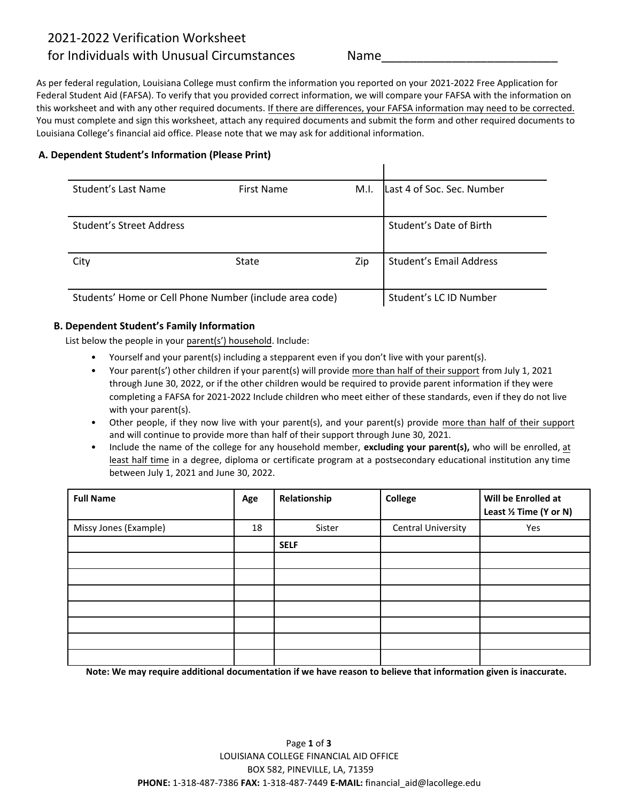# 2021-2022 Verification Worksheet

# for Individuals with Unusual Circumstances Name

As per federal regulation, Louisiana College must confirm the information you reported on your 2021-2022 Free Application for Federal Student Aid (FAFSA). To verify that you provided correct information, we will compare your FAFSA with the information on this worksheet and with any other required documents. If there are differences, your FAFSA information may need to be corrected. You must complete and sign this worksheet, attach any required documents and submit the form and other required documents to Louisiana College's financial aid office. Please note that we may ask for additional information.

## **A. Dependent Student's Information (Please Print)**

| Student's Last Name                                     | First Name   | M.I. | Last 4 of Soc. Sec. Number     |
|---------------------------------------------------------|--------------|------|--------------------------------|
|                                                         |              |      |                                |
| Student's Street Address                                |              |      | Student's Date of Birth        |
|                                                         |              |      |                                |
| City                                                    | <b>State</b> | Zip  | <b>Student's Email Address</b> |
|                                                         |              |      |                                |
| Students' Home or Cell Phone Number (include area code) |              |      | Student's LC ID Number         |

# **B. Dependent Student's Family Information**

List below the people in your parent(s') household. Include:

- Yourself and your parent(s) including a stepparent even if you don't live with your parent(s).
- Your parent(s') other children if your parent(s) will provide more than half of their support from July 1, 2021 through June 30, 2022, or if the other children would be required to provide parent information if they were completing a FAFSA for 2021-2022 Include children who meet either of these standards, even if they do not live with your parent(s).
- Other people, if they now live with your parent(s), and your parent(s) provide more than half of their support and will continue to provide more than half of their support through June 30, 2021.
- Include the name of the college for any household member, **excluding your parent(s),** who will be enrolled, at least half time in a degree, diploma or certificate program at a postsecondary educational institution any time between July 1, 2021 and June 30, 2022.

| <b>Full Name</b>      | Age | Relationship | College            | Will be Enrolled at<br>Least 1/2 Time (Y or N) |
|-----------------------|-----|--------------|--------------------|------------------------------------------------|
| Missy Jones (Example) | 18  | Sister       | Central University | Yes                                            |
|                       |     | <b>SELF</b>  |                    |                                                |
|                       |     |              |                    |                                                |
|                       |     |              |                    |                                                |
|                       |     |              |                    |                                                |
|                       |     |              |                    |                                                |
|                       |     |              |                    |                                                |
|                       |     |              |                    |                                                |
|                       |     |              |                    |                                                |

**Note: We may require additional documentation if we have reason to believe that information given is inaccurate.**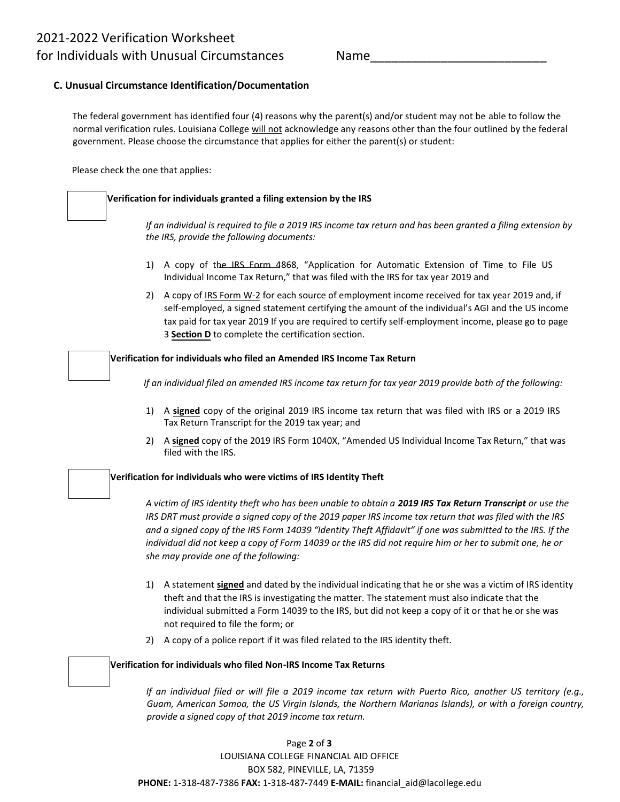## **C. Unusual Circumstance Identification/Documentation**

The federal government has identified four (4) reasons why the parent(s) and/or student may not be able to follow the normal verification rules. Louisiana College will not acknowledge any reasons other than the four outlined by the federal government. Please choose the circumstance that applies for either the parent(s) or student:

Please check the one that applies:

## **Verification for individuals granted a filing extension by the IRS**

*If an individual is required to file a 2019 IRS income tax return and has been granted a filing extension by the IRS, provide the following documents:* 

- 1) A copy of the IRS Form 4868, "Application for Automatic Extension of Time to File US Individual Income Tax Return," that was filed with the IRS for tax year 2019 and
- 2) A copy of IRS Form W-2 for each source of employment income received for tax year 2019 and, if self-employed, a signed statement certifying the amount of the individual's AGI and the US income tax paid for tax year 2019 If you are required to certify self-employment income, please go to page 3 **Section D** to complete the certification section.

#### **Verification for individuals who filed an Amended IRS Income Tax Return**

*If an individual filed an amended IRS income tax return for tax year 2019 provide both of the following:*

- 1) A **signed** copy of the original 2019 IRS income tax return that was filed with IRS or a 2019 IRS Tax Return Transcript for the 2019 tax year; and
- 2) A **signed** copy of the 2019 IRS Form 1040X, "Amended US Individual Income Tax Return," that was filed with the IRS.

### **Verification for individuals who were victims of IRS Identity Theft**

*A victim of IRS identity theft who has been unable to obtain a 2019 IRS Tax Return Transcript or use the IRS DRT must provide a signed copy of the 2019 paper IRS income tax return that was filed with the IRS and a signed copy of the IRS Form 14039 "Identity Theft Affidavit" if one was submitted to the IRS. If the individual did not keep a copy of Form 14039 or the IRS did not require him or her to submit one, he or she may provide one of the following:* 

- 1) A statement **signed** and dated by the individual indicating that he or she was a victim of IRS identity theft and that the IRS is investigating the matter. The statement must also indicate that the individual submitted a Form 14039 to the IRS, but did not keep a copy of it or that he or she was not required to file the form; or
- 2) A copy of a police report if it was filed related to the IRS identity theft.

### **Verification for individuals who filed Non-IRS Income Tax Returns**

*If an individual filed or will file a 2019 income tax return with Puerto Rico, another US territory (e.g., Guam, American Samoa, the US Virgin Islands, the Northern Marianas Islands), or with a foreign country, provide a signed copy of that 2019 income tax return.*